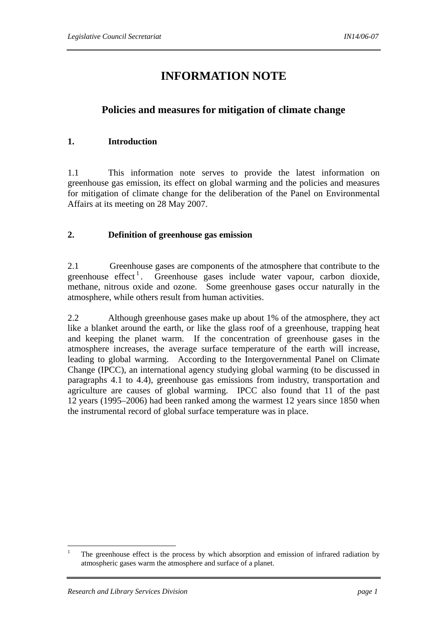# **INFORMATION NOTE**

## **Policies and measures for mitigation of climate change**

### **1. Introduction**

1.1 This information note serves to provide the latest information on greenhouse gas emission, its effect on global warming and the policies and measures for mitigation of climate change for the deliberation of the Panel on Environmental Affairs at its meeting on 28 May 2007.

### **2. Definition of greenhouse gas emission**

2.1 Greenhouse gases are components of the atmosphere that contribute to the greenhouse effect<sup>1</sup>. Greenhouse gases include water vapour, carbon dioxide, methane, nitrous oxide and ozone. Some greenhouse gases occur naturally in the atmosphere, while others result from human activities.

2.2 Although greenhouse gases make up about 1% of the atmosphere, they act like a blanket around the earth, or like the glass roof of a greenhouse, trapping heat and keeping the planet warm. If the concentration of greenhouse gases in the atmosphere increases, the average surface temperature of the earth will increase, leading to global warming. According to the Intergovernmental Panel on Climate Change (IPCC), an international agency studying global warming (to be discussed in paragraphs 4.1 to 4.4), greenhouse gas emissions from industry, transportation and agriculture are causes of global warming. IPCC also found that 11 of the past 12 years (1995–2006) had been ranked among the warmest 12 years since 1850 when the instrumental record of global surface temperature was in place.

 $\overline{a}$ 

<sup>1</sup> The greenhouse effect is the process by which absorption and emission of infrared radiation by atmospheric gases warm the atmosphere and surface of a planet.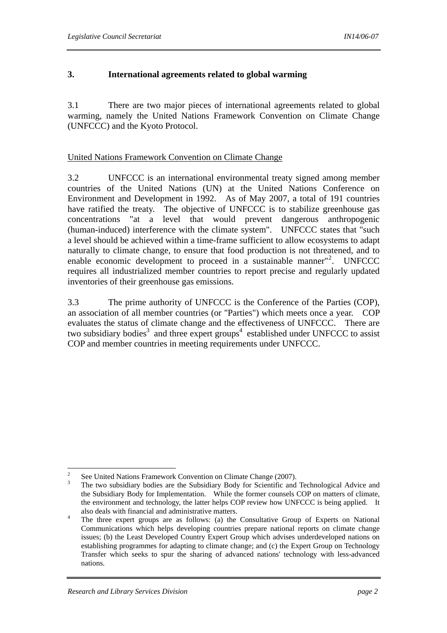### **3. International agreements related to global warming**

3.1 There are two major pieces of international agreements related to global warming, namely the United Nations Framework Convention on Climate Change (UNFCCC) and the Kyoto Protocol.

#### United Nations Framework Convention on Climate Change

3.2 UNFCCC is an international environmental treaty signed among member countries of the United Nations (UN) at the United Nations Conference on Environment and Development in 1992. As of May 2007, a total of 191 countries have ratified the treaty. The objective of UNFCCC is to stabilize greenhouse gas concentrations "at a level that would prevent dangerous anthropogenic (human-induced) interference with the climate system". UNFCCC states that "such a level should be achieved within a time-frame sufficient to allow ecosystems to adapt naturally to climate change, to ensure that food production is not threatened, and to enable economic development to proceed in a sustainable manner<sup>"2</sup>. . UNFCCC requires all industrialized member countries to report precise and regularly updated inventories of their greenhouse gas emissions.

3.3 The prime authority of UNFCCC is the Conference of the Parties (COP), an association of all member countries (or "Parties") which meets once a year. COP evaluates the status of climate change and the effectiveness of UNFCCC. There are two subsidiary bodies<sup>3</sup> and three expert groups<sup>4</sup> established under UNFCCC to assist COP and member countries in meeting requirements under UNFCCC.

 $\overline{2}$ <sup>2</sup> See United Nations Framework Convention on Climate Change (2007).

<sup>3</sup> The two subsidiary bodies are the Subsidiary Body for Scientific and Technological Advice and the Subsidiary Body for Implementation. While the former counsels COP on matters of climate, the environment and technology, the latter helps COP review how UNFCCC is being applied. It also deals with financial and administrative matters.

<sup>&</sup>lt;sup>4</sup> The three expert groups are as follows: (a) the Consultative Group of Experts on National Communications which helps developing countries prepare national reports on climate change issues; (b) the Least Developed Country Expert Group which advises underdeveloped nations on establishing programmes for adapting to climate change; and (c) the Expert Group on Technology Transfer which seeks to spur the sharing of advanced nations' technology with less-advanced nations.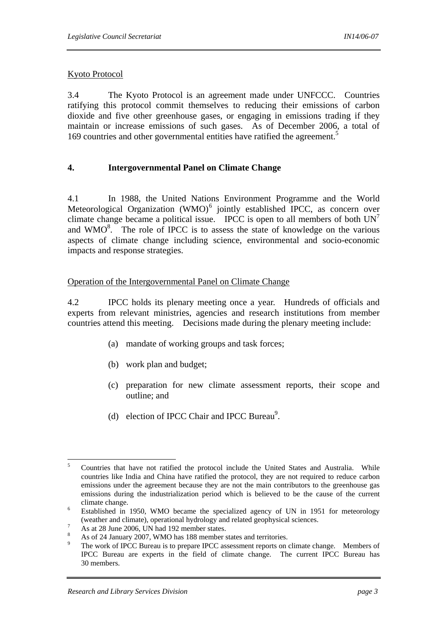### Kyoto Protocol

3.4 The Kyoto Protocol is an agreement made under UNFCCC. Countries ratifying this protocol commit themselves to reducing their emissions of carbon dioxide and five other greenhouse gases, or engaging in emissions trading if they maintain or increase emissions of such gases. As of December 2006, a total of 169 countries and other governmental entities have ratified the agreement.<sup>5</sup>

### **4. Intergovernmental Panel on Climate Change**

4.1 In 1988, the United Nations Environment Programme and the World Meteorological Organization (WMO)<sup>6</sup> jointly established IPCC, as concern over climate change became a political issue. IPCC is open to all members of both  $UN<sup>7</sup>$ and  $WMO<sup>8</sup>$ . The role of IPCC is to assess the state of knowledge on the various aspects of climate change including science, environmental and socio-economic impacts and response strategies.

### Operation of the Intergovernmental Panel on Climate Change

4.2 IPCC holds its plenary meeting once a year. Hundreds of officials and experts from relevant ministries, agencies and research institutions from member countries attend this meeting. Decisions made during the plenary meeting include:

- (a) mandate of working groups and task forces;
- (b) work plan and budget;
- (c) preparation for new climate assessment reports, their scope and outline; and
- (d) election of IPCC Chair and IPCC Bureau<sup>9</sup>.

 5 Countries that have not ratified the protocol include the United States and Australia. While countries like India and China have ratified the protocol, they are not required to reduce carbon emissions under the agreement because they are not the main contributors to the greenhouse gas emissions during the industrialization period which is believed to be the cause of the current climate change.

Established in 1950, WMO became the specialized agency of UN in 1951 for meteorology (weather and climate), operational hydrology and related geophysical sciences.

As at 28 June 2006, UN had 192 member states.

<sup>8</sup> As of 24 January 2007, WMO has 188 member states and territories.

<sup>9</sup> The work of IPCC Bureau is to prepare IPCC assessment reports on climate change. Members of IPCC Bureau are experts in the field of climate change. The current IPCC Bureau has 30 members.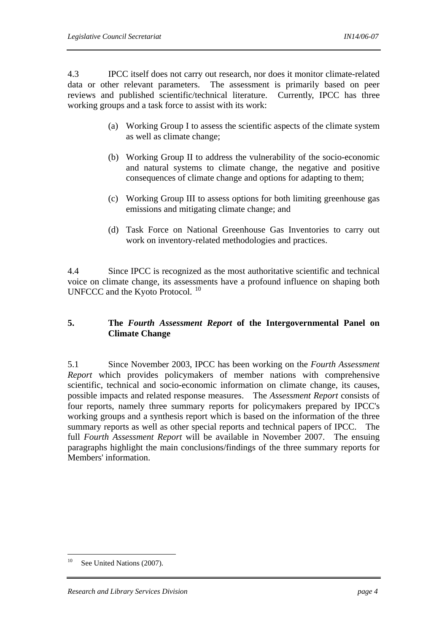4.3 IPCC itself does not carry out research, nor does it monitor climate-related data or other relevant parameters. The assessment is primarily based on peer reviews and published scientific/technical literature. Currently, IPCC has three working groups and a task force to assist with its work:

- (a) Working Group I to assess the scientific aspects of the climate system as well as climate change;
- (b) Working Group II to address the vulnerability of the socio-economic and natural systems to climate change, the negative and positive consequences of climate change and options for adapting to them;
- (c) Working Group III to assess options for both limiting greenhouse gas emissions and mitigating climate change; and
- (d) Task Force on National Greenhouse Gas Inventories to carry out work on inventory-related methodologies and practices.

4.4 Since IPCC is recognized as the most authoritative scientific and technical voice on climate change, its assessments have a profound influence on shaping both UNFCCC and the Kyoto Protocol.<sup>10</sup>

### **5. The** *Fourth Assessment Report* **of the Intergovernmental Panel on Climate Change**

5.1 Since November 2003, IPCC has been working on the *Fourth Assessment Report* which provides policymakers of member nations with comprehensive scientific, technical and socio-economic information on climate change, its causes, possible impacts and related response measures. The *Assessment Report* consists of four reports, namely three summary reports for policymakers prepared by IPCC's working groups and a synthesis report which is based on the information of the three summary reports as well as other special reports and technical papers of IPCC. The full *Fourth Assessment Report* will be available in November 2007. The ensuing paragraphs highlight the main conclusions/findings of the three summary reports for Members' information.

 $10$ See United Nations (2007).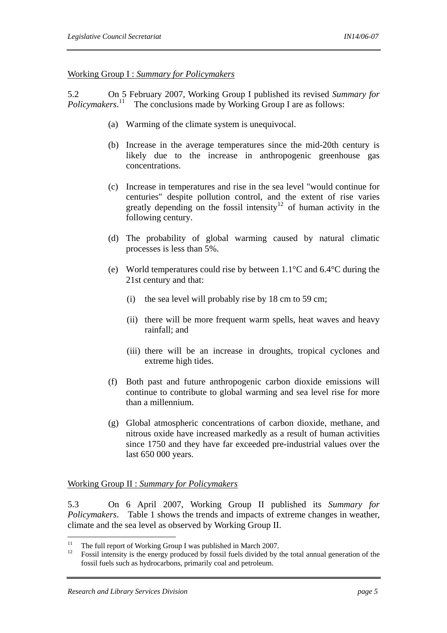#### Working Group I : *Summary for Policymakers*

5.2 On 5 February 2007, Working Group I published its revised *Summary for Policymakers*.<sup>11</sup> The conclusions made by Working Group I are as follows:

- (a) Warming of the climate system is unequivocal.
- (b) Increase in the average temperatures since the mid-20th century is likely due to the increase in anthropogenic greenhouse gas concentrations.
- (c) Increase in temperatures and rise in the sea level "would continue for centuries" despite pollution control, and the extent of rise varies greatly depending on the fossil intensity<sup>12</sup> of human activity in the following century.
- (d) The probability of global warming caused by natural climatic processes is less than 5%.
- (e) World temperatures could rise by between 1.1°C and 6.4°C during the 21st century and that:
	- (i) the sea level will probably rise by 18 cm to 59 cm;
	- (ii) there will be more frequent warm spells, heat waves and heavy rainfall; and
	- (iii) there will be an increase in droughts, tropical cyclones and extreme high tides.
- (f) Both past and future anthropogenic carbon dioxide emissions will continue to contribute to global warming and sea level rise for more than a millennium.
- (g) Global atmospheric concentrations of carbon dioxide, methane, and nitrous oxide have increased markedly as a result of human activities since 1750 and they have far exceeded pre-industrial values over the last 650 000 years.

### Working Group II : *Summary for Policymakers*

5.3 On 6 April 2007, Working Group II published its *Summary for Policymakers*. Table 1 shows the trends and impacts of extreme changes in weather, climate and the sea level as observed by Working Group II.

 $11$ 

<sup>&</sup>lt;sup>11</sup> The full report of Working Group I was published in March 2007.<br><sup>12</sup> Fossil intensity is the energy produced by fossil fuels divided by the total annual generation of the fossil fuels such as hydrocarbons, primarily coal and petroleum.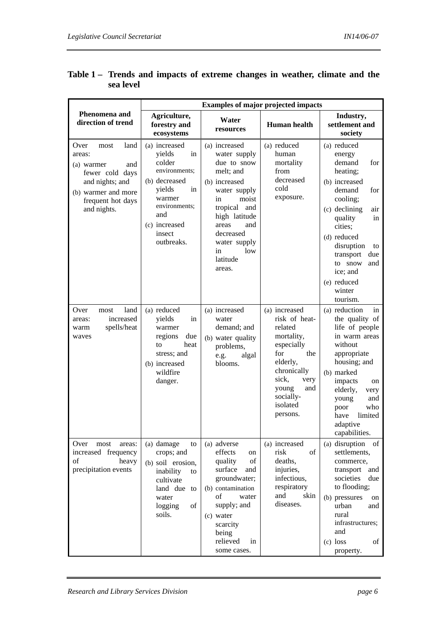|                                                                                                                                                      | <b>Examples of major projected impacts</b>                                                                                                                           |                                                                                                                                                                                                                               |                                                                                                                                                                                      |                                                                                                                                                                                                                                                                                |
|------------------------------------------------------------------------------------------------------------------------------------------------------|----------------------------------------------------------------------------------------------------------------------------------------------------------------------|-------------------------------------------------------------------------------------------------------------------------------------------------------------------------------------------------------------------------------|--------------------------------------------------------------------------------------------------------------------------------------------------------------------------------------|--------------------------------------------------------------------------------------------------------------------------------------------------------------------------------------------------------------------------------------------------------------------------------|
| Phenomena and<br>direction of trend                                                                                                                  | Agriculture,<br>forestry and<br>ecosystems                                                                                                                           | Water<br>resources                                                                                                                                                                                                            | <b>Human</b> health                                                                                                                                                                  | Industry,<br>settlement and<br>society                                                                                                                                                                                                                                         |
| Over<br>land<br>most<br>areas:<br>(a) warmer<br>and<br>fewer cold days<br>and nights; and<br>(b) warmer and more<br>frequent hot days<br>and nights. | (a) increased<br>yields<br>in<br>colder<br>environments;<br>(b) decreased<br>yields<br>in<br>warmer<br>environments;<br>and<br>(c) increased<br>insect<br>outbreaks. | (a) increased<br>water supply<br>due to snow<br>melt; and<br>(b) increased<br>water supply<br>in<br>moist<br>tropical<br>and<br>high latitude<br>and<br>areas<br>decreased<br>water supply<br>in<br>low<br>latitude<br>areas. | (a) reduced<br>human<br>mortality<br>from<br>decreased<br>cold<br>exposure.                                                                                                          | (a) reduced<br>energy<br>demand<br>for<br>heating;<br>(b) increased<br>demand<br>for<br>cooling;<br>(c) declining<br>air<br>quality<br>in<br>cities;<br>(d) reduced<br>disruption<br>to<br>transport<br>due<br>to snow<br>and<br>ice; and<br>(e) reduced<br>winter<br>tourism. |
| Over<br>land<br>most<br>increased<br>areas:<br>spells/heat<br>warm<br>waves                                                                          | (a) reduced<br>yields<br>in<br>warmer<br>regions<br>due<br>heat<br>to<br>stress; and<br>(b) increased<br>wildfire<br>danger.                                         | (a) increased<br>water<br>demand; and<br>(b) water quality<br>problems,<br>e.g.<br>algal<br>blooms.                                                                                                                           | (a) increased<br>risk of heat-<br>related<br>mortality,<br>especially<br>for<br>the<br>elderly,<br>chronically<br>sick,<br>very<br>and<br>young<br>socially-<br>isolated<br>persons. | (a) reduction<br>in<br>the quality of<br>life of people<br>in warm areas<br>without<br>appropriate<br>housing; and<br>(b) marked<br>impacts<br>on<br>elderly,<br>very<br>and<br>young<br>who<br>poor<br>limited<br>have<br>adaptive<br>capabilities.                           |
| Over<br>most<br>areas:<br>increased frequency<br>of<br>heavy<br>precipitation events                                                                 | (a) damage<br>to<br>crops; and<br>(b) soil erosion,<br>inability<br>to<br>cultivate<br>land due to<br>water<br>of<br>logging<br>soils.                               | (a) adverse<br>effects<br>on<br>quality<br>of<br>surface<br>and<br>groundwater;<br>(b) contamination<br>of<br>water<br>supply; and<br>(c) water<br>scarcity<br>being<br>relieved<br>in<br>some cases.                         | (a) increased<br>of<br>risk<br>deaths,<br>injuries,<br>infectious,<br>respiratory<br>and<br>skin<br>diseases.                                                                        | (a) disruption<br>of<br>settlements,<br>commerce,<br>transport<br>and<br>societies<br>due<br>to flooding;<br>(b) pressures<br>on<br>urban<br>and<br>rural<br>infrastructures;<br>and<br>$(c)$ loss<br>of<br>property.                                                          |

### **Table 1 – Trends and impacts of extreme changes in weather, climate and the sea level**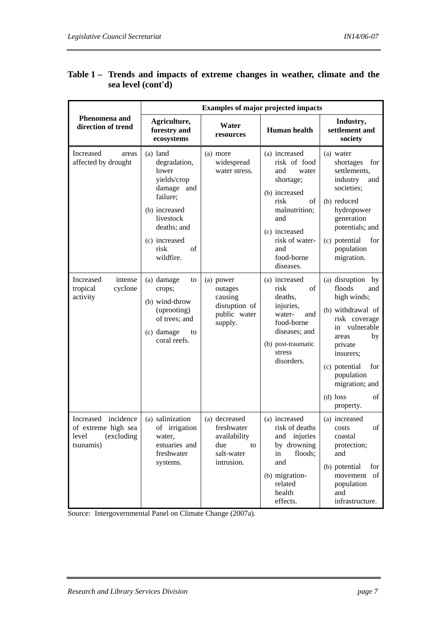|                                                                                          | <b>Examples of major projected impacts</b>                                                                                                                                                          |                                                                                      |                                                                                                                                                                                                                       |                                                                                                                                                                                                                                        |
|------------------------------------------------------------------------------------------|-----------------------------------------------------------------------------------------------------------------------------------------------------------------------------------------------------|--------------------------------------------------------------------------------------|-----------------------------------------------------------------------------------------------------------------------------------------------------------------------------------------------------------------------|----------------------------------------------------------------------------------------------------------------------------------------------------------------------------------------------------------------------------------------|
| Phenomena and<br>direction of trend                                                      | Agriculture,<br>forestry and<br>ecosystems                                                                                                                                                          | Water<br>resources                                                                   | <b>Human</b> health                                                                                                                                                                                                   | Industry,<br>settlement and<br>society                                                                                                                                                                                                 |
| Increased<br>areas<br>affected by drought<br>Increased<br>intense<br>cyclone<br>tropical | $(a)$ land<br>degradation,<br>lower<br>yields/crop<br>damage and<br>failure;<br>(b) increased<br>livestock<br>deaths; and<br>(c) increased<br>risk<br>of<br>wildfire.<br>(a) damage<br>to<br>crops; | (a) more<br>widespread<br>water stress.<br>(a) power<br>outages                      | (a) increased<br>risk of food<br>and<br>water<br>shortage;<br>(b) increased<br>risk<br>of<br>malnutrition;<br>and<br>(c) increased<br>risk of water-<br>and<br>food-borne<br>diseases.<br>(a) increased<br>risk<br>of | (a) water<br>shortages<br>for<br>settlements,<br>industry<br>and<br>societies:<br>(b) reduced<br>hydropower<br>generation<br>potentials; and<br>(c) potential<br>for<br>population<br>migration.<br>(a) disruption by<br>floods<br>and |
| activity                                                                                 | (b) wind-throw<br>(uprooting)<br>of trees; and<br>(c) damage<br>to<br>coral reefs.                                                                                                                  | causing<br>disruption of<br>public water<br>supply.                                  | deaths,<br>injuries,<br>water-<br>and<br>food-borne<br>diseases; and<br>(b) post-traumatic<br>stress<br>disorders.                                                                                                    | high winds;<br>(b) withdrawal of<br>risk coverage<br>in vulnerable<br>areas<br>by<br>private<br>insurers;<br>(c) potential<br>for<br>population<br>migration; and<br>$(d)$ loss<br>of<br>property.                                     |
| Increased incidence<br>of extreme high sea<br>level (excluding<br>tsunamis)              | (a) salinization<br>of irrigation<br>water,<br>estuaries and<br>freshwater<br>systems.                                                                                                              | (a) decreased<br>freshwater<br>availability<br>due<br>to<br>salt-water<br>intrusion. | (a) increased<br>risk of deaths<br>and injuries<br>by drowning<br>floods;<br>in<br>and<br>(b) migration-<br>related<br>health<br>effects.                                                                             | (a) increased<br>of<br>costs<br>coastal<br>protection;<br>and<br>(b) potential<br>for<br>movement of<br>population<br>and<br>infrastructure.                                                                                           |

## **Table 1 – Trends and impacts of extreme changes in weather, climate and the sea level (cont'd)**

Source: Intergovernmental Panel on Climate Change (2007a).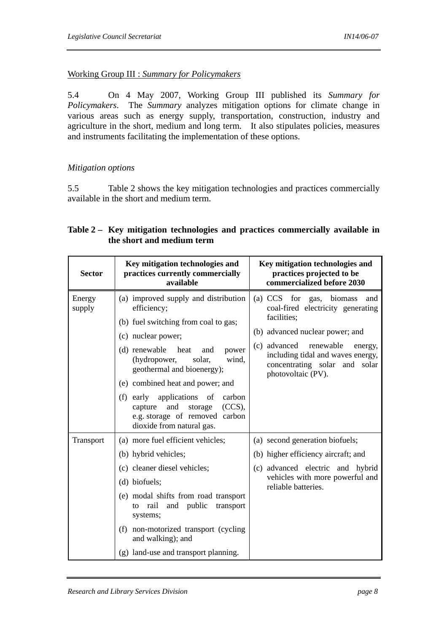### Working Group III : *Summary for Policymakers*

5.4 On 4 May 2007, Working Group III published its *Summary for Policymakers*. The *Summary* analyzes mitigation options for climate change in various areas such as energy supply, transportation, construction, industry and agriculture in the short, medium and long term. It also stipulates policies, measures and instruments facilitating the implementation of these options.

### *Mitigation options*

5.5 Table 2 shows the key mitigation technologies and practices commercially available in the short and medium term.

### **Table 2 – Key mitigation technologies and practices commercially available in the short and medium term**

| <b>Sector</b>    | Key mitigation technologies and<br>practices currently commercially<br>available                                                                                                                                                                                                                                                                                                                                | Key mitigation technologies and<br>practices projected to be<br>commercialized before 2030                                                                                                                                                              |
|------------------|-----------------------------------------------------------------------------------------------------------------------------------------------------------------------------------------------------------------------------------------------------------------------------------------------------------------------------------------------------------------------------------------------------------------|---------------------------------------------------------------------------------------------------------------------------------------------------------------------------------------------------------------------------------------------------------|
| Energy<br>supply | (a) improved supply and distribution<br>efficiency;<br>(b) fuel switching from coal to gas;<br>(c) nuclear power;<br>(d) renewable<br>heat<br>and<br>power<br>(hydropower,<br>solar.<br>wind.<br>geothermal and bioenergy);<br>(e) combined heat and power; and<br>(f) early applications of<br>carbon<br>and<br>$(CCS)$ ,<br>storage<br>capture<br>e.g. storage of removed carbon<br>dioxide from natural gas. | (a) CCS for gas, biomass<br>and<br>coal-fired electricity generating<br>facilities;<br>(b) advanced nuclear power; and<br>(c) advanced renewable<br>energy,<br>including tidal and waves energy,<br>concentrating solar and solar<br>photovoltaic (PV). |
| Transport        | (a) more fuel efficient vehicles;<br>(b) hybrid vehicles;<br>(c) cleaner diesel vehicles;<br>(d) biofuels;<br>(e) modal shifts from road transport<br>and public<br>to rail<br>transport<br>systems;<br>(f) non-motorized transport (cycling<br>and walking); and<br>(g) land-use and transport planning.                                                                                                       | (a) second generation biofuels;<br>(b) higher efficiency aircraft; and<br>(c) advanced electric and hybrid<br>vehicles with more powerful and<br>reliable batteries.                                                                                    |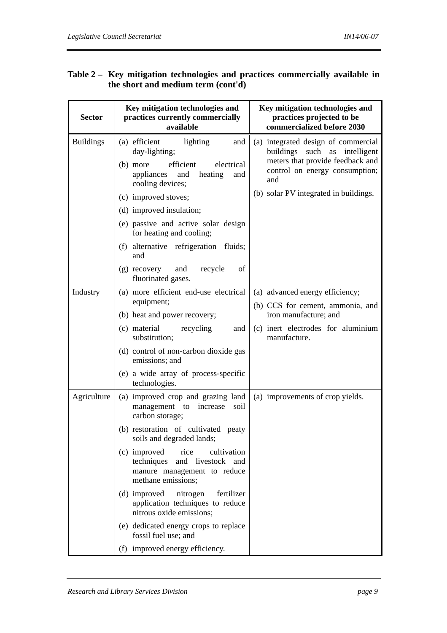| <b>Sector</b>    | Key mitigation technologies and<br>practices currently commercially<br>available                                                                                                                                                                                                                                                                                                                                                                                      | Key mitigation technologies and<br>practices projected to be<br>commercialized before 2030                                                                                                 |
|------------------|-----------------------------------------------------------------------------------------------------------------------------------------------------------------------------------------------------------------------------------------------------------------------------------------------------------------------------------------------------------------------------------------------------------------------------------------------------------------------|--------------------------------------------------------------------------------------------------------------------------------------------------------------------------------------------|
| <b>Buildings</b> | (a) efficient<br>lighting<br>and<br>day-lighting;<br>efficient<br>(b) more<br>electrical<br>appliances<br>and<br>heating<br>and<br>cooling devices;<br>(c) improved stoves;<br>(d) improved insulation;<br>(e) passive and active solar design<br>for heating and cooling;<br>(f) alternative refrigeration fluids;<br>and<br>and<br>$(g)$ recovery<br>recycle<br>of<br>fluorinated gases.                                                                            | (a) integrated design of commercial<br>buildings such as intelligent<br>meters that provide feedback and<br>control on energy consumption;<br>and<br>(b) solar PV integrated in buildings. |
| Industry         | (a) more efficient end-use electrical<br>equipment;<br>(b) heat and power recovery;<br>(c) material<br>recycling<br>and<br>substitution;<br>(d) control of non-carbon dioxide gas<br>emissions; and<br>(e) a wide array of process-specific<br>technologies.                                                                                                                                                                                                          | (a) advanced energy efficiency;<br>(b) CCS for cement, ammonia, and<br>iron manufacture; and<br>(c) inert electrodes for aluminium<br>manufacture.                                         |
| Agriculture      | (a) improved crop and grazing land<br>management to<br>increase<br>soil<br>carbon storage;<br>(b) restoration of cultivated peaty<br>soils and degraded lands;<br>(c) improved<br>rice<br>cultivation<br>techniques<br>and livestock and<br>manure management to reduce<br>methane emissions;<br>(d) improved nitrogen<br>fertilizer<br>application techniques to reduce<br>nitrous oxide emissions;<br>(e) dedicated energy crops to replace<br>fossil fuel use; and | (a) improvements of crop yields.                                                                                                                                                           |

## **Table 2 – Key mitigation technologies and practices commercially available in the short and medium term (cont'd)**

(f) improved energy efficiency.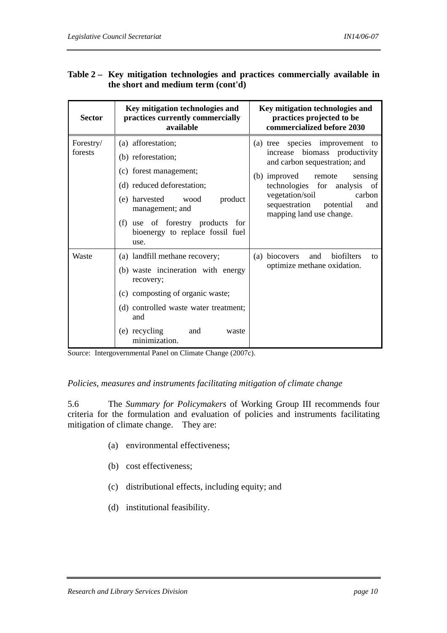### **Table 2 – Key mitigation technologies and practices commercially available in the short and medium term (cont'd)**

| <b>Sector</b>        | Key mitigation technologies and<br>practices currently commercially<br>available                                                                                                                                                     | Key mitigation technologies and<br>practices projected to be<br>commercialized before 2030                                                                                                                                                                           |
|----------------------|--------------------------------------------------------------------------------------------------------------------------------------------------------------------------------------------------------------------------------------|----------------------------------------------------------------------------------------------------------------------------------------------------------------------------------------------------------------------------------------------------------------------|
| Forestry/<br>forests | (a) afforestation;<br>(b) reforestation;<br>(c) forest management;<br>(d) reduced deforestation;<br>(e) harvested wood<br>product<br>management; and<br>(f) use of forestry products for<br>bioenergy to replace fossil fuel<br>use. | (a) tree species improvement to<br>biomass productivity<br>increase<br>and carbon sequestration; and<br>(b) improved remote<br>sensing<br>technologies for analysis of<br>vegetation/soil<br>carbon<br>sequestration<br>potential<br>and<br>mapping land use change. |
| Waste                | (a) landfill methane recovery;<br>(b) waste incineration with energy<br>recovery;<br>(c) composting of organic waste;<br>(d) controlled waste water treatment;<br>and<br>(e) recycling<br>and<br>waste<br>minimization.              | biofilters<br>and<br>(a) biocovers<br>to<br>optimize methane oxidation.                                                                                                                                                                                              |

Source: Intergovernmental Panel on Climate Change (2007c).

#### *Policies, measures and instruments facilitating mitigation of climate change*

5.6 The *Summary for Policymakers* of Working Group III recommends four criteria for the formulation and evaluation of policies and instruments facilitating mitigation of climate change. They are:

- (a) environmental effectiveness;
- (b) cost effectiveness;
- (c) distributional effects, including equity; and
- (d) institutional feasibility.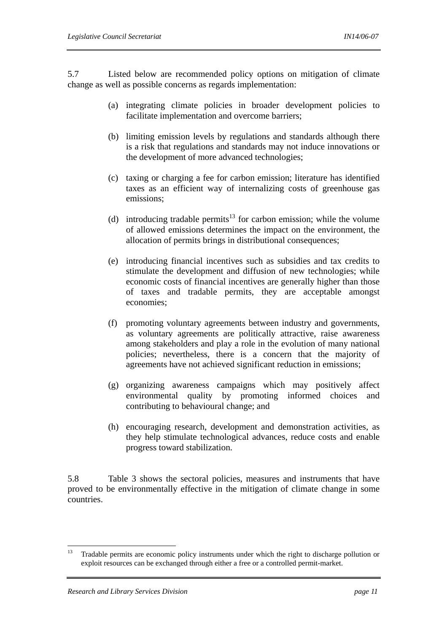5.7 Listed below are recommended policy options on mitigation of climate change as well as possible concerns as regards implementation:

- (a) integrating climate policies in broader development policies to facilitate implementation and overcome barriers;
- (b) limiting emission levels by regulations and standards although there is a risk that regulations and standards may not induce innovations or the development of more advanced technologies;
- (c) taxing or charging a fee for carbon emission; literature has identified taxes as an efficient way of internalizing costs of greenhouse gas emissions;
- (d) introducing tradable permits<sup>13</sup> for carbon emission; while the volume of allowed emissions determines the impact on the environment, the allocation of permits brings in distributional consequences;
- (e) introducing financial incentives such as subsidies and tax credits to stimulate the development and diffusion of new technologies; while economic costs of financial incentives are generally higher than those of taxes and tradable permits, they are acceptable amongst economies;
- (f) promoting voluntary agreements between industry and governments, as voluntary agreements are politically attractive, raise awareness among stakeholders and play a role in the evolution of many national policies; nevertheless, there is a concern that the majority of agreements have not achieved significant reduction in emissions;
- (g) organizing awareness campaigns which may positively affect environmental quality by promoting informed choices and contributing to behavioural change; and
- (h) encouraging research, development and demonstration activities, as they help stimulate technological advances, reduce costs and enable progress toward stabilization.

5.8 Table 3 shows the sectoral policies, measures and instruments that have proved to be environmentally effective in the mitigation of climate change in some countries.

 $13 -$ 13 Tradable permits are economic policy instruments under which the right to discharge pollution or exploit resources can be exchanged through either a free or a controlled permit-market.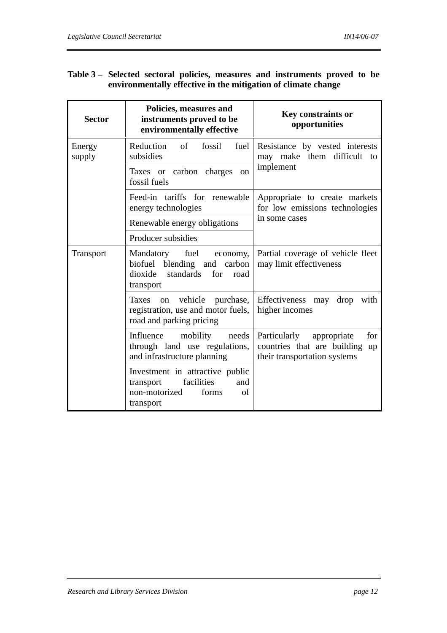### **Table 3 – Selected sectoral policies, measures and instruments proved to be environmentally effective in the mitigation of climate change**

| <b>Sector</b>    | Policies, measures and<br>instruments proved to be<br>environmentally effective                                     | <b>Key constraints or</b><br>opportunities                                                              |  |
|------------------|---------------------------------------------------------------------------------------------------------------------|---------------------------------------------------------------------------------------------------------|--|
| Energy<br>supply | Reduction<br>of<br>fossil<br>fuel<br>subsidies                                                                      | Resistance by vested interests<br>may make them difficult to                                            |  |
|                  | Taxes or carbon charges<br><sub>on</sub><br>fossil fuels                                                            | implement                                                                                               |  |
|                  | Feed-in tariffs for renewable<br>energy technologies                                                                | Appropriate to create markets<br>for low emissions technologies                                         |  |
|                  | Renewable energy obligations                                                                                        | in some cases                                                                                           |  |
|                  | Producer subsidies                                                                                                  |                                                                                                         |  |
| <b>Transport</b> | fuel<br>Mandatory<br>economy,<br>carbon<br>biofuel blending and<br>standards<br>dioxide<br>for<br>road<br>transport | Partial coverage of vehicle fleet<br>may limit effectiveness                                            |  |
|                  | vehicle<br>Taxes<br>purchase,<br>on<br>registration, use and motor fuels,<br>road and parking pricing               | Effectiveness may drop<br>with<br>higher incomes                                                        |  |
|                  | Influence<br>mobility<br>needs<br>through land use regulations,<br>and infrastructure planning                      | Particularly<br>appropriate<br>for<br>countries that are building<br>up<br>their transportation systems |  |
|                  | Investment in attractive public<br>facilities<br>transport<br>and<br>non-motorized<br>of<br>forms<br>transport      |                                                                                                         |  |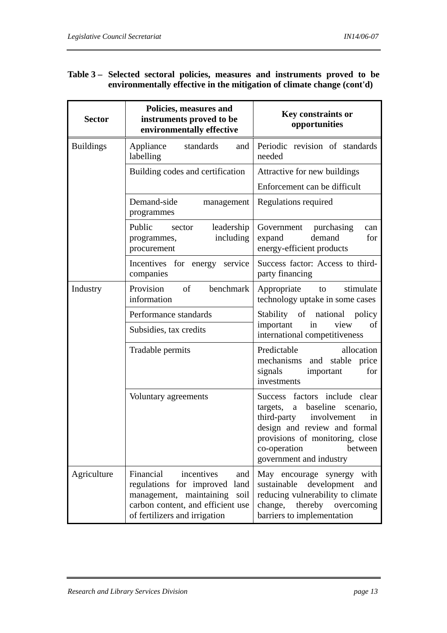### **Table 3 – Selected sectoral policies, measures and instruments proved to be environmentally effective in the mitigation of climate change (cont'd)**

| <b>Sector</b>    | Policies, measures and<br>instruments proved to be<br>environmentally effective                                                                                             | Key constraints or<br>opportunities                                                                                                                                                                                                  |
|------------------|-----------------------------------------------------------------------------------------------------------------------------------------------------------------------------|--------------------------------------------------------------------------------------------------------------------------------------------------------------------------------------------------------------------------------------|
| <b>Buildings</b> | Appliance<br>standards<br>and<br>labelling                                                                                                                                  | Periodic revision of standards<br>needed                                                                                                                                                                                             |
|                  | Building codes and certification                                                                                                                                            | Attractive for new buildings<br>Enforcement can be difficult                                                                                                                                                                         |
|                  | Demand-side<br>management<br>programmes                                                                                                                                     | Regulations required                                                                                                                                                                                                                 |
|                  | Public<br>leadership<br>sector<br>including<br>programmes,<br>procurement                                                                                                   | purchasing<br>Government<br>can<br>demand<br>expand<br>for<br>energy-efficient products                                                                                                                                              |
|                  | Incentives for energy service<br>companies                                                                                                                                  | Success factor: Access to third-<br>party financing                                                                                                                                                                                  |
| Industry         | Provision<br>benchmark<br>of<br>information                                                                                                                                 | stimulate<br>Appropriate<br>to<br>technology uptake in some cases                                                                                                                                                                    |
|                  | Performance standards                                                                                                                                                       | Stability of national policy<br>view<br>important<br>in<br>of                                                                                                                                                                        |
|                  | Subsidies, tax credits                                                                                                                                                      | international competitiveness                                                                                                                                                                                                        |
|                  | Tradable permits                                                                                                                                                            | Predictable<br>allocation<br>mechanisms<br>and stable price<br>signals<br>important<br>for<br>investments                                                                                                                            |
|                  | Voluntary agreements                                                                                                                                                        | factors include clear<br>Success<br>baseline<br>targets,<br>scenario,<br>a<br>third-party involvement<br>in<br>design and review and formal<br>provisions of monitoring, close<br>co-operation<br>between<br>government and industry |
| Agriculture      | Financial<br>incentives<br>and<br>regulations for improved<br>land<br>management, maintaining<br>soil<br>carbon content, and efficient use<br>of fertilizers and irrigation | with<br>May encourage synergy<br>sustainable<br>development<br>and<br>reducing vulnerability to climate<br>change,<br>thereby<br>overcoming<br>barriers to implementation                                                            |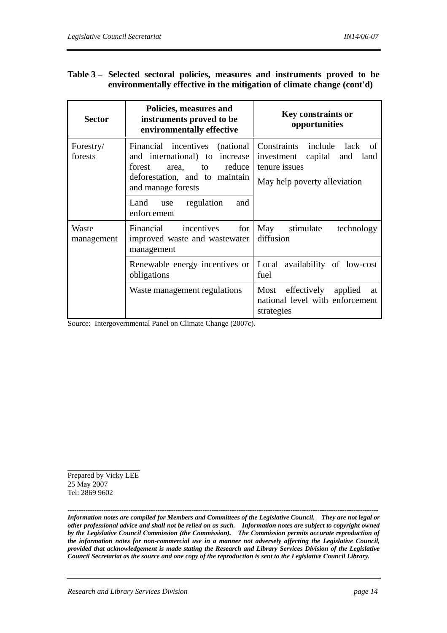### **Table 3 – Selected sectoral policies, measures and instruments proved to be environmentally effective in the mitigation of climate change (cont'd)**

| <b>Sector</b>        | Policies, measures and<br>instruments proved to be<br>environmentally effective                                                                       | <b>Key constraints or</b><br>opportunities                                                                                |
|----------------------|-------------------------------------------------------------------------------------------------------------------------------------------------------|---------------------------------------------------------------------------------------------------------------------------|
| Forestry/<br>forests | Financial incentives (national<br>and international) to increase<br>area, to reduce<br>forest<br>deforestation, and to maintain<br>and manage forests | Constraints include lack<br>- of<br>capital<br>and<br>investment<br>land<br>tenure issues<br>May help poverty alleviation |
|                      | Land use<br>regulation<br>and<br>enforcement                                                                                                          |                                                                                                                           |
| Waste<br>management  | incentives<br>Financial<br>for<br>improved waste and wastewater<br>management                                                                         | May stimulate<br>technology<br>diffusion                                                                                  |
|                      | Renewable energy incentives or<br>obligations                                                                                                         | Local availability of low-cost<br>fuel                                                                                    |
|                      | Waste management regulations                                                                                                                          | Most effectively applied at<br>national level with enforcement<br>strategies                                              |

Source: Intergovernmental Panel on Climate Change (2007c).

Prepared by Vicky LEE 25 May 2007 Tel: 2869 9602

*------------------------------------------------------------------------------------------------------------------------------------------ Information notes are compiled for Members and Committees of the Legislative Council. They are not legal or other professional advice and shall not be relied on as such. Information notes are subject to copyright owned by the Legislative Council Commission (the Commission). The Commission permits accurate reproduction of the information notes for non-commercial use in a manner not adversely affecting the Legislative Council, provided that acknowledgement is made stating the Research and Library Services Division of the Legislative Council Secretariat as the source and one copy of the reproduction is sent to the Legislative Council Library.*